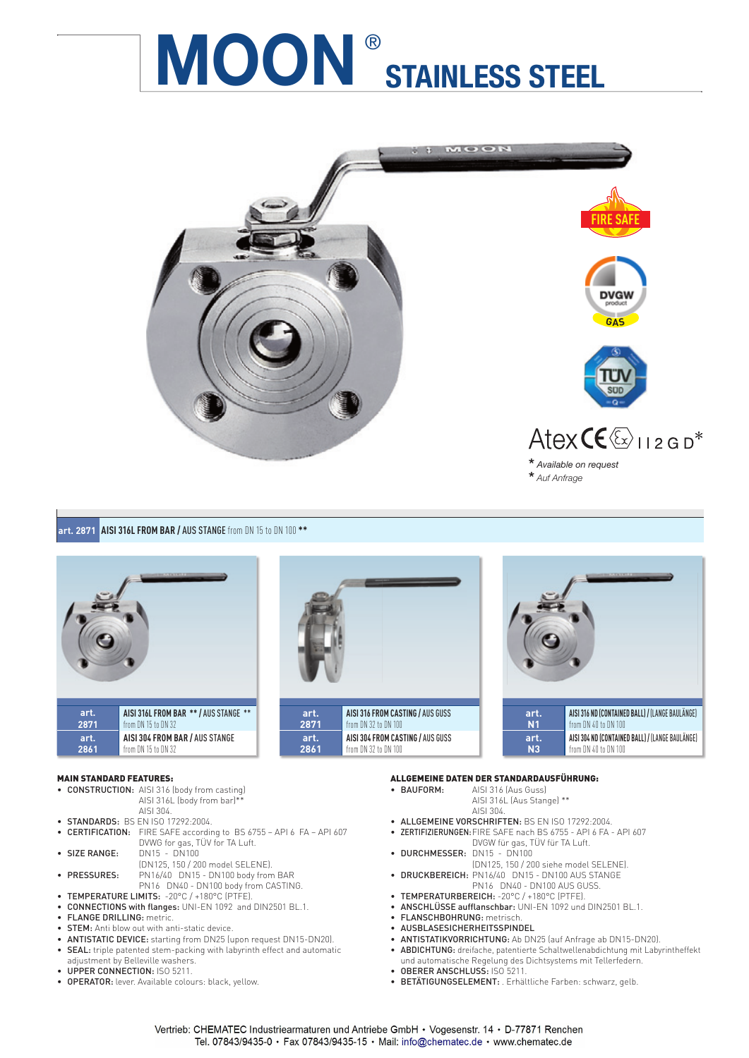

### **art. 2871 AISI 316L FROM BAR /** AUS STANGEfrom DN 15 to DN 100 **\*\***



#### MAIN STANDARD FEATURES:

| • CONSTRUCTION: AISI 316 (body from casting) |
|----------------------------------------------|
| AISI 316L (body from bar)**                  |
| AISI 304.                                    |

- **STANDARDS:** BS EN ISO 17292:2004.
- CERTIFICATION: FIRE SAFE according to BS 6755 API 6 FA API 607 DVWG for gas, TÜV for TA Luft.<br>DN15 - DN100 • SIZE RANGE:
- (DN125, 150 / 200 model SELENE).<br>• **PRESSURES:** PN16/40 DN15 DN100 body from
- PRESSURES: PN16/40 DN15 DN100 body from BAR
- PN16 DN40 DN100 body from CASTING. • TEMPERATURE LIMITS: -20°C / +180°C (PTFE).
- **CONNECTIONS with flanges:** UNI-EN 1092 and DIN2501 BL.1.
- FLANGE DRILLING: metric.
- STEM: Anti blow out with anti-static device.
- ANTISTATIC DEVICE: starting from DN25 (upon request DN15-DN20).
- SEAL: triple patented stem-packing with labyrinth effect and automatic adjustment by Belleville washers.
- UPPER CONNECTION: ISO 5211.
- OPERATOR: lever. Available colours: black, yellow.





# ALLGEMEINE DATEN DER STANDARDAUSFÜHRUNG:<br>• BAUFORM: AISI 316 (Aus Guss)

- AISI 316 (Aus Guss) AISI 316L (Aus Stange) \*\* AISI 304.
- ALLGEMEINE VORSCHRIFTEN: BS EN ISO 17292:2004.
- ZERTIFIZIERUNGEN: FIRE SAFE nach BS 6755 API 6 FA API 607 DVGW für gas, TÜV für TA Luft.
- DURCHMESSER: DN15 DN100
- (DN125, 150 / 200 siehe model SELENE). • DRUCKBEREICH: PN16/40 DN15 - DN100 AUS STANGE
	- PN16 DN40 DN100 AUS GUSS.
- TEMPERATURBEREICH: -20°C / +180°C (PTFE).
- ANSCHLÜSSE aufflanschbar: UNI-EN 1092 und DIN2501 BL.1.
- FLANSCHBOHRUNG: metrisch.
- AUSBLASESICHERHEITSSPINDEL
- ANTISTATIKVORRICHTUNG: Ab DN25 (auf Anfrage ab DN15-DN20).
- ABDICHTUNG: dreifache, patentierte Schaltwellenabdichtung mit Labyrintheffekt und automatische Regelung des Dichtsystems mit Tellerfedern.
- OBERER ANSCHLUSS: ISO 5211.
- BETÄTIGUNGSELEMENT: . Erhältliche Farben: schwarz, gelb.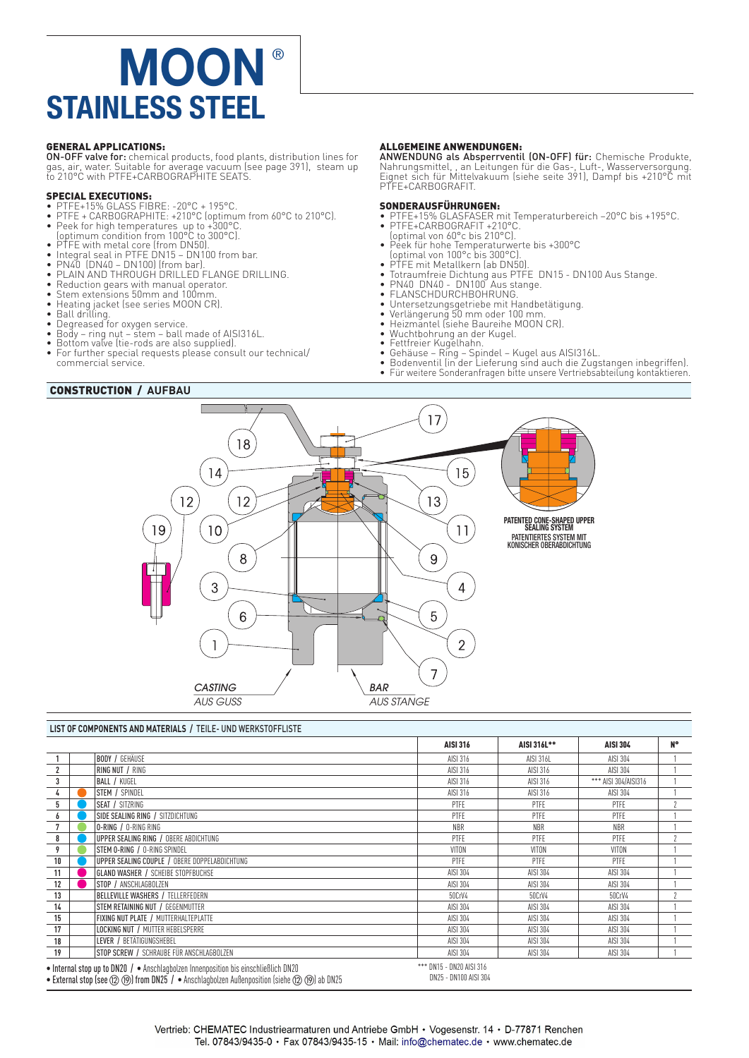**GENERAL APPLICATIONS:**<br>ON-OFF valve for: chemical products, food plants, distribution lines for **ON-OFF valve for:** chemical products, food plants, distribution lines for<br>gas, air, water. Suitable for average vacuum (see page 391), steam up<br>to 210°C with PTFE+CARBOGRAPHITE SEATS.

#### SPECIAL EXECUTIONS:

- 
- PTFE+15% GLASS FIBRE: -20°C + 195°C.<br>• PTFE + CARBOGRAPHITE: +210°C (optimum from 60°C to 210°C).<br>• Peek for high temperatures up to +300°C.<br>• Optimum condition from 100°C to 300°C).<br>• PTFE with metal core (from DN50).<br>
- 
- 
- 
- 
- 
- Reduction gears with manual operator. Stem extensions 50mm and 100mm.
- 
- 
- Heating jacket (see series MOON CR). Ball drilling. Degreased for oxygen service.
- 
- Body ring nut stem ball made of AISI316L. Bottom valve (tie-rods are also supplied).
- For further special requests please consult our technical/ commercial service.

### CONSTRUCTION / **AUFBAU**

#### ALLGEMEINE ANWENDUNGEN:

ANWENDUNG als Absperrventil (ON-OFF) für: Chemische Produkte, Nahrungsmittel, , an Leitungen für die Gas-, Luft-, Wasserversorgung. Eignet sich für Mittelvakuum (siehe seite 391), Dampf bis +210°C mit PTFE+CARBOGRAFIT.

#### SONDERAUSFÜHRUNGEN:

• PTFE+15% GLASFASER mit Temperaturbereich –20°C bis +195°C. • PTFE+CARBOGRAFIT +210°C.

- 
- (optimal von 60°c bis 210°C).
- Peek für hohe Temperaturwerte bis +300°C (optimal von 100°c bis 300°C). PTFE mit Metallkern (ab DN50).
- 
- Totraumfreie Dichtung aus PTFE DN15 DN100 Aus Stange. PN40 DN40 DN100 Aus stange. FLANSCHDURCHBOHRUNG.
- 
- 
- Untersetzungsgetriebe mit Handbetätigung. Verlängerung 50 mm oder 100 mm.
- Heizmantel (siehe Baureihe MOON CR).<br>• Wuchthobrung an der Kugel
- Wuchtbohrung an der Kugel. Fettfreier Kugelhahn.
- 
- 
- Gehäuse Ring Spindel Kugel aus AISI316L. Bodenventil (in der Lieferung sind auch die Zugstangen inbegriffen). Für weitere Sonderanfragen bitte unsere Vertriebsabteilung kontaktieren.
- 



#### **LIST OF COMPONENTS AND MATERIALS /** TEILE- UND WERKSTOFFLISTE

|                |                                                                                                                                                                                                                                                                                                        |                                               | <b>AISI 316</b> | AISI 316L** | <b>AISI 304</b>      | <b>N°</b> |  |  |  |  |
|----------------|--------------------------------------------------------------------------------------------------------------------------------------------------------------------------------------------------------------------------------------------------------------------------------------------------------|-----------------------------------------------|-----------------|-------------|----------------------|-----------|--|--|--|--|
|                |                                                                                                                                                                                                                                                                                                        | <b>BODY / GEHÄUSE</b>                         | AISI 316        | AISI 316L   | AISI 304             |           |  |  |  |  |
| $\overline{2}$ |                                                                                                                                                                                                                                                                                                        | RING NUT / RING                               | AISI 316        | AISI 316    | AISI 304             |           |  |  |  |  |
| 3              |                                                                                                                                                                                                                                                                                                        | <b>BALL / KUGEL</b>                           | AISI 316        | AISI 316    | *** AISI 304/AISI316 |           |  |  |  |  |
| 4              |                                                                                                                                                                                                                                                                                                        | STEM / SPINDEL                                | AISI 316        | AISI 316    | AISI 304             |           |  |  |  |  |
| 5              |                                                                                                                                                                                                                                                                                                        | <b>SEAT / SITZRING</b>                        | PTFE            | PTFE        | <b>PTFE</b>          | $\gamma$  |  |  |  |  |
| 6              |                                                                                                                                                                                                                                                                                                        | SIDE SEALING RING / SITZDICHTUNG              | PTFE            | PTFE        | <b>PTFE</b>          |           |  |  |  |  |
|                |                                                                                                                                                                                                                                                                                                        | <b>O-RING / O-RING RING</b>                   | <b>NBR</b>      | <b>NBR</b>  | <b>NBR</b>           |           |  |  |  |  |
| 8              |                                                                                                                                                                                                                                                                                                        | UPPER SEALING RING / OBERE ABDICHTUNG         | PTFE            | PTFE        | PTFE                 |           |  |  |  |  |
| 9              |                                                                                                                                                                                                                                                                                                        | STEM O-RING / O-RING SPINDEL                  | VITON           | VITON       | VITON                |           |  |  |  |  |
| 10             |                                                                                                                                                                                                                                                                                                        | UPPER SEALING COUPLE / OBERE DOPPELABDICHTUNG | PTFE            | PTFE        | PTFE                 |           |  |  |  |  |
| 11             |                                                                                                                                                                                                                                                                                                        | <b>GLAND WASHER / SCHEIBE STOPFBUCHSE</b>     | AISI 304        | AISI 304    | AISI 304             |           |  |  |  |  |
| 12             |                                                                                                                                                                                                                                                                                                        | STOP / ANSCHLAGBOLZEN                         | AISI 304        | AISI 304    | AISI 304             |           |  |  |  |  |
| 13             |                                                                                                                                                                                                                                                                                                        | <b>BELLEVILLE WASHERS / TELLERFEDERN</b>      | 50CrV4          | 50CrV4      | 50CrV4               |           |  |  |  |  |
| 14             |                                                                                                                                                                                                                                                                                                        | STEM RETAINING NUT / GEGENMUTTER              | AISI 304        | AISI 304    | AISI 304             |           |  |  |  |  |
| 15             |                                                                                                                                                                                                                                                                                                        | FIXING NUT PLATE / MUTTERHALTEPLATTE          | AISI 304        | AISI 304    | AISI 304             |           |  |  |  |  |
| 17             |                                                                                                                                                                                                                                                                                                        | <b>LOCKING NUT / MUTTER HEBELSPERRE</b>       | AISI 304        | AISI 304    | AISI 304             |           |  |  |  |  |
| 18             |                                                                                                                                                                                                                                                                                                        | LEVER / BETÄTIGUNGSHEBEL                      | AISI 304        | AISI 304    | AISI 304             |           |  |  |  |  |
| 19             |                                                                                                                                                                                                                                                                                                        | STOP SCREW / SCHRAUBE FÜR ANSCHLAGBOLZEN      | AISI 304        | AISI 304    | AISI 304             |           |  |  |  |  |
|                | *** DN15 - DN20 AISI 316<br>• Internal stop up to DN20 / • Anschlagbolzen Innenposition bis einschließlich DN20<br>DN25 - DN100 AISI 304<br>• External stop (see $\textcircled{2}$ $\textcircled{9}$ ) from DN25 / • Anschlagbolzen Außenposition (siehe $\textcircled{2}$ $\textcircled{9}$ ) ab DN25 |                                               |                 |             |                      |           |  |  |  |  |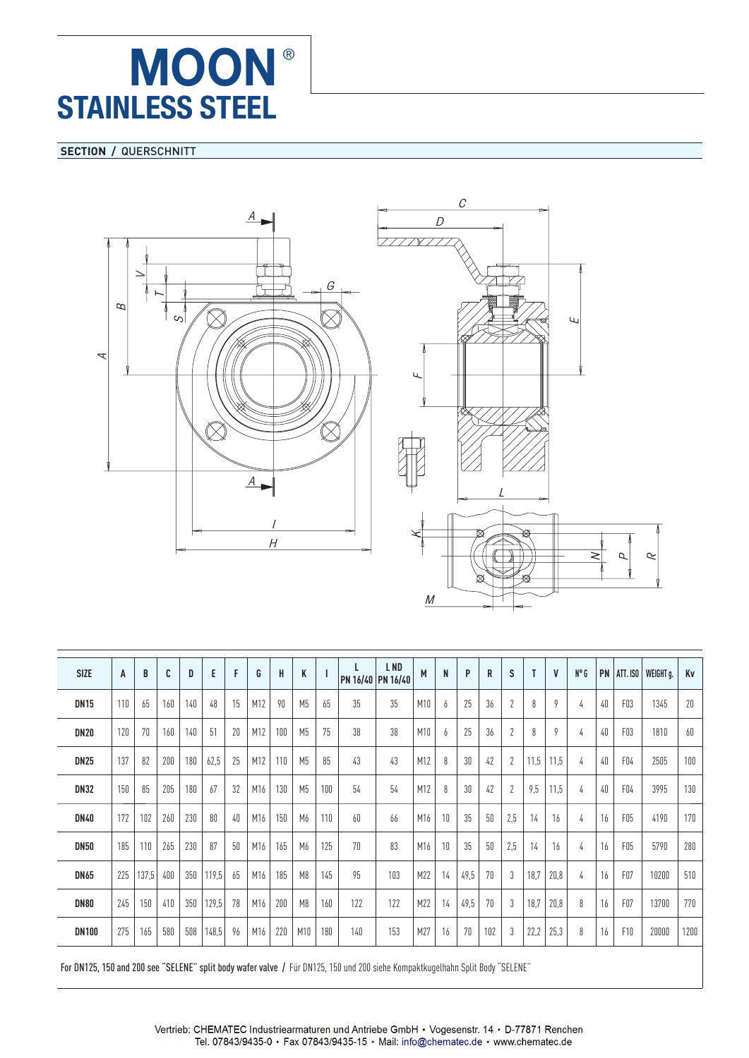## **SECTION / QUERSCHNITT**





| <b>SIZE</b>  | A   | B     | C   | D   | E     | F  | G   | H   | K              |     | L.              | L ND<br>PN 16/40 PN 16/40 | M   | N  | P    | R   | S              | T    | $\mathsf{V}$ | $N^{\circ}$ G |    | $PN$   ATT. ISO  | WEIGHT g. | Kv   |
|--------------|-----|-------|-----|-----|-------|----|-----|-----|----------------|-----|-----------------|---------------------------|-----|----|------|-----|----------------|------|--------------|---------------|----|------------------|-----------|------|
| <b>DN15</b>  | 110 | 65    | 160 | 140 | 48    | 15 | M12 | 90  | M <sub>5</sub> | 65  | 35 <sub>1</sub> | 35                        | M10 | 6  | 25   | 36  | $\overline{2}$ | 8    | 9            | 4             | 40 | FO3              | 1345      | 20   |
| <b>DN20</b>  | 120 | 70    | 160 | 140 | 51    | 20 | M12 | 100 | M <sub>5</sub> | 75  | 38              | 38                        | M10 | 6  | 25   | 36  |                | 8    | 9            | 4             | 40 | FO3              | 1810      | 60   |
| <b>DN25</b>  | 137 | 82    | 200 | 180 | 62,5  | 25 | M12 | 110 | M <sub>5</sub> | 85  | 43              | 43                        | M12 | 8  | 30   | 42  |                | 11,5 | 11,5         | 4             | 40 | FO4              | 2505      | 100  |
| <b>DN32</b>  | 150 | 85    | 205 | 180 | 67    | 32 | M16 | 130 | M <sub>5</sub> | 100 | 54              | 54                        | M12 | 8  | 30   | 42  |                | 9,5  | 11,5         | 4             | 40 | FO4              | 3995      | 130  |
| <b>DN40</b>  | 172 | 102   | 260 | 230 | 80    | 40 | M16 | 150 | M <sub>6</sub> | 110 | 60              | 66                        | M16 | 10 | 35   | 50  | 2,5            | 14   | 16           | 4             | 16 | FO <sub>5</sub>  | 4190      | 170  |
| <b>DN50</b>  | 185 | 110   | 265 | 230 | 87    | 50 | M16 | 165 | M <sub>6</sub> | 125 | 70              | 83                        | M16 | 10 | 35   | 50  | 2,5            | 14   | 16           | 4             | 16 | FO <sub>5</sub>  | 5790      | 280  |
| <b>DN65</b>  | 225 | 137,5 | 400 | 350 | 119.5 | 65 | M16 | 185 | M <sub>8</sub> | 145 | 95              | 103                       | M22 | 14 | 49,5 | 70  | 3              | 18,7 | 20,8         | 4             | 16 | F <sub>07</sub>  | 10200     | 510  |
| <b>DN80</b>  | 245 | 150   | 410 | 350 | 129,5 | 78 | M16 | 200 | M <sub>8</sub> | 160 | 122             | 122                       | M22 | 14 | 49,5 | 70  | 3              | 18,7 | 20,8         | 8             | 16 | F <sub>0</sub> 7 | 13700     | 770  |
| <b>DN100</b> | 275 | 165   | 580 | 508 | 148,5 | 96 | M16 | 220 | M10            | 180 | 140             | 153                       | M27 | 16 | 70   | 102 |                | 22,2 | 25,3         | 8             | 16 | F <sub>10</sub>  | 20000     | 1200 |
|              |     |       |     |     |       |    |     |     |                |     |                 |                           |     |    |      |     |                |      |              |               |    |                  |           |      |

For DN125, 150 and 200 see "SELENE" split body wafer valve / Für DN125, 150 und 200 siehe Kompaktkugelhahn Split Body "SELENE"